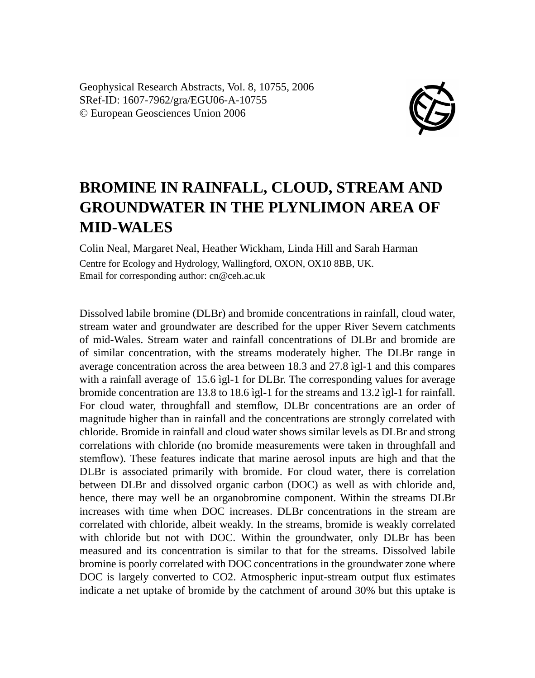Geophysical Research Abstracts, Vol. 8, 10755, 2006 SRef-ID: 1607-7962/gra/EGU06-A-10755 © European Geosciences Union 2006



## **BROMINE IN RAINFALL, CLOUD, STREAM AND GROUNDWATER IN THE PLYNLIMON AREA OF MID-WALES**

Colin Neal, Margaret Neal, Heather Wickham, Linda Hill and Sarah Harman Centre for Ecology and Hydrology, Wallingford, OXON, OX10 8BB, UK. Email for corresponding author: cn@ceh.ac.uk

Dissolved labile bromine (DLBr) and bromide concentrations in rainfall, cloud water, stream water and groundwater are described for the upper River Severn catchments of mid-Wales. Stream water and rainfall concentrations of DLBr and bromide are of similar concentration, with the streams moderately higher. The DLBr range in average concentration across the area between 18.3 and 27.8 ìgl-1 and this compares with a rainfall average of 15.6 ìgl-1 for DLBr. The corresponding values for average bromide concentration are 13.8 to 18.6 ìgl-1 for the streams and 13.2 ìgl-1 for rainfall. For cloud water, throughfall and stemflow, DLBr concentrations are an order of magnitude higher than in rainfall and the concentrations are strongly correlated with chloride. Bromide in rainfall and cloud water shows similar levels as DLBr and strong correlations with chloride (no bromide measurements were taken in throughfall and stemflow). These features indicate that marine aerosol inputs are high and that the DLBr is associated primarily with bromide. For cloud water, there is correlation between DLBr and dissolved organic carbon (DOC) as well as with chloride and, hence, there may well be an organobromine component. Within the streams DLBr increases with time when DOC increases. DLBr concentrations in the stream are correlated with chloride, albeit weakly. In the streams, bromide is weakly correlated with chloride but not with DOC. Within the groundwater, only DLBr has been measured and its concentration is similar to that for the streams. Dissolved labile bromine is poorly correlated with DOC concentrations in the groundwater zone where DOC is largely converted to CO2. Atmospheric input-stream output flux estimates indicate a net uptake of bromide by the catchment of around 30% but this uptake is